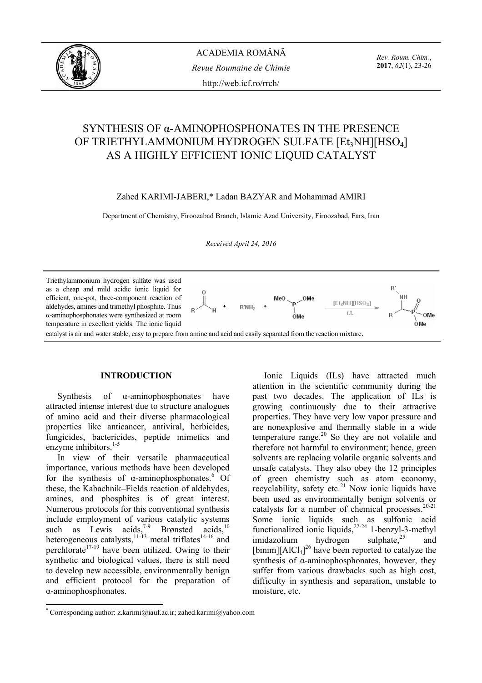

*Rev. Roum. Chim.*, **2017**, *62*(1), 23-26

# SYNTHESIS OF α-AMINOPHOSPHONATES IN THE PRESENCE OF TRIETHYLAMMONIUM HYDROGEN SULFATE [Et3NH][HSO4] AS A HIGHLY EFFICIENT IONIC LIQUID CATALYST

Zahed KARIMI-JABERI,\* Ladan BAZYAR and Mohammad AMIRI

Department of Chemistry, Firoozabad Branch, Islamic Azad University, Firoozabad, Fars, Iran

### *Received April 24, 2016*



## **INTRODUCTION\***

Synthesis of  $\alpha$ -aminophosphonates have attracted intense interest due to structure analogues of amino acid and their diverse pharmacological properties like anticancer, antiviral, herbicides, fungicides, bactericides, peptide mimetics and enzyme inhibitors. $1-5$ 

In view of their versatile pharmaceutical importance, various methods have been developed for the synthesis of  $\alpha$ -aminophosphonates.<sup>6</sup> Of these, the Kabachnik–Fields reaction of aldehydes, amines, and phosphites is of great interest. Numerous protocols for this conventional synthesis include employment of various catalytic systems such as Lewis acids,  $7-9$  Brønsted acids,  $10$ heterogeneous catalysts, $11-13$  metal triflates $14-16$  and perchlorate $17-19$  have been utilized. Owing to their synthetic and biological values, there is still need to develop new accessible, environmentally benign and efficient protocol for the preparation of α-aminophosphonates.

Ionic Liquids (ILs) have attracted much attention in the scientific community during the past two decades. The application of ILs is growing continuously due to their attractive properties. They have very low vapor pressure and are nonexplosive and thermally stable in a wide temperature range. $^{20}$  So they are not volatile and therefore not harmful to environment; hence, green solvents are replacing volatile organic solvents and unsafe catalysts. They also obey the 12 principles of green chemistry such as atom economy, recyclability, safety etc.<sup>21</sup> Now ionic liquids have been used as environmentally benign solvents or catalysts for a number of chemical processes. $20-21$ Some ionic liquids such as sulfonic acid functionalized ionic liquids,  $2^{2-24}$  1-benzyl-3-methyl imidazolium hydrogen sulphate, $25$  and [bmim][ $AlCl<sub>4</sub>$ ]<sup>26</sup> have been reported to catalyze the synthesis of α-aminophosphonates, however, they suffer from various drawbacks such as high cost, difficulty in synthesis and separation, unstable to moisture, etc.

 \* Corresponding author: \* Corresponding author: z.karimi@iauf.ac.ir; zahed.karimi@yahoo.com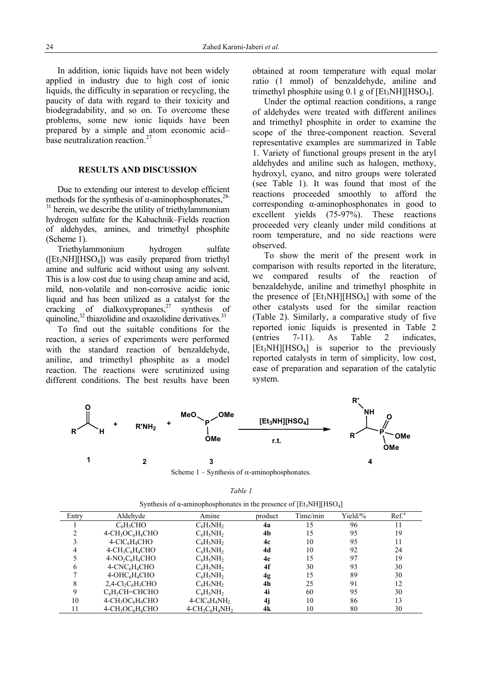In addition, ionic liquids have not been widely applied in industry due to high cost of ionic liquids, the difficulty in separation or recycling, the paucity of data with regard to their toxicity and biodegradability, and so on. To overcome these problems, some new ionic liquids have been prepared by a simple and atom economic acid– base neutralization reaction.<sup>27</sup>

## **RESULTS AND DISCUSSION**

Due to extending our interest to develop efficient methods for the synthesis of  $\alpha$ -aminophosphonates,<sup>28-</sup>

 $31$  herein, we describe the utility of triethylammonium hydrogen sulfate for the Kabachnik–Fields reaction of aldehydes, amines, and trimethyl phosphite (Scheme 1).

Triethylammonium hydrogen sulfate  $(E_t NHI[HSO_4])$  was easily prepared from triethyl amine and sulfuric acid without using any solvent. This is a low cost due to using cheap amine and acid, mild, non-volatile and non-corrosive acidic ionic liquid and has been utilized as a catalyst for the cracking of dialkoxypropanes, $27$  synthesis of quinoline, $32$  thiazolidine and oxazolidine derivatives. $33$ 

To find out the suitable conditions for the reaction, a series of experiments were performed with the standard reaction of benzaldehyde, aniline, and trimethyl phosphite as a model reaction. The reactions were scrutinized using different conditions. The best results have been obtained at room temperature with equal molar ratio (1 mmol) of benzaldehyde, aniline and trimethyl phosphite using  $0.1$  g of  $[Et<sub>3</sub>NH][HSO<sub>4</sub>].$ 

Under the optimal reaction conditions, a range of aldehydes were treated with different anilines and trimethyl phosphite in order to examine the scope of the three-component reaction. Several representative examples are summarized in Table 1. Variety of functional groups present in the aryl aldehydes and aniline such as halogen, methoxy, hydroxyl, cyano, and nitro groups were tolerated (see Table 1). It was found that most of the reactions proceeded smoothly to afford the corresponding α-aminophosphonates in good to excellent yields (75-97%). These reactions proceeded very cleanly under mild conditions at room temperature, and no side reactions were observed.

To show the merit of the present work in comparison with results reported in the literature, we compared results of the reaction of benzaldehyde, aniline and trimethyl phosphite in the presence of  $[Et<sub>3</sub>NH][HSO<sub>4</sub>]$  with some of the other catalysts used for the similar reaction (Table 2). Similarly, a comparative study of five reported ionic liquids is presented in Table 2 (entries 7-11). As Table 2 indicates,  $[Et<sub>3</sub>NH][HSO<sub>4</sub>]$  is superior to the previously reported catalysts in term of simplicity, low cost, ease of preparation and separation of the catalytic system.



| Entry | Aldehyde                                                 | Amine              | product        | Time/min | Yield/% | Ref. <sup>a</sup> |  |
|-------|----------------------------------------------------------|--------------------|----------------|----------|---------|-------------------|--|
|       | $C_6H_5CHO$                                              | $C_6H_5NH_2$       | 4a             | 15       | 96      | 11                |  |
|       | $4-CH3OC6H4CHO$                                          | $C_6H_5NH_2$       | 4 <sub>b</sub> | 15       | 95      | 19                |  |
|       | $4-CIC6H4CHO$                                            | $C_6H_5NH_2$       | 4c             | 10       | 95      | 11                |  |
| 4     | $4-CH_3C_6H_4CHO$                                        | $C_6H_5NH_2$       | 4d             | 10       | 92      | 24                |  |
|       | $4-NO2C6H4CHO$                                           | $C_6H_5NH_2$       | 4e             | 15       | 97      | 19                |  |
| 6     | $4$ -CNC <sub>6</sub> H <sub>4</sub> CHO                 | $C_6H_5NH_2$       | 4f             | 30       | 93      | 30                |  |
|       | $4-OHC6H4CHO$                                            | $C_6H_5NH_2$       | 4g             | 15       | 89      | 30                |  |
| 8     | $2,4$ -Cl <sub>2</sub> C <sub>6</sub> H <sub>3</sub> CHO | $C_6H_5NH_2$       | 4h             | 25       | 91      | 12                |  |
| 9     | C <sub>6</sub> H <sub>5</sub> CH=CHCHO                   | $C_6H_5NH_2$       | 4i             | 60       | 95      | 30                |  |
| 10    | $4-CH3OC6H4CHO$                                          | $4-CIC6H4NH2$      | 4i             | 10       | 86      | 13                |  |
| 11    | $4-CH3OC6H4CHO$                                          | $4-CH_3C_6H_4NH_2$ | 4k             | 10       | 80      | 30                |  |

Synthesis of  $\alpha$ -aminophosphonates in the presence of [Et<sub>3</sub>NH][HSO<sub>4</sub>]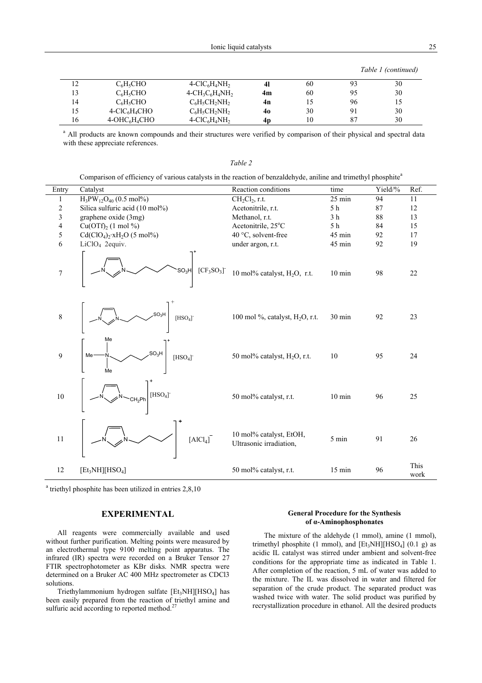*Table 1 (continued)* 

| 12 | C6H5CHO       | $4-CIC6H4NH2$                                                      | 41 | 60 | 93 | 30 |
|----|---------------|--------------------------------------------------------------------|----|----|----|----|
|    | C6H5CHO       | $4$ -CH <sub>3</sub> C <sub>6</sub> H <sub>4</sub> NH <sub>2</sub> | 4m | 60 |    | 30 |
| 14 | $C_6H_5CHO$   | $C_6H_5CH_2NH_2$                                                   | 4n |    | 96 | 15 |
| 15 | $4-CIC6H4CHO$ | $C_6H_5CH_2NH_2$                                                   | 40 | 30 |    | 30 |
| 16 | $4-OHC6H4CHO$ | $4-CIC6H4NH2$                                                      | 4p | 10 | 87 | 30 |

<sup>a</sup> All products are known compounds and their structures were verified by comparison of their physical and spectral data with these appreciate references.

*Table 2* 

Comparison of efficiency of various catalysts in the reaction of benzaldehyde, aniline and trimethyl phosphite<sup>a</sup>

| Entry                   | Catalyst                                                                                         | Reaction conditions                                | time             | Yield/% | Ref.         |
|-------------------------|--------------------------------------------------------------------------------------------------|----------------------------------------------------|------------------|---------|--------------|
| 1                       | $H_3PW_{12}O_{40}$ (0.5 mol%)                                                                    | $CH2Cl2$ , r.t.                                    | $25 \text{ min}$ | 94      | 11           |
| $\boldsymbol{2}$        | Silica sulfuric acid (10 mol%)                                                                   | Acetonitrile, r.t.                                 | $5\ \mathrm{h}$  | 87      | 12           |
| $\overline{\mathbf{3}}$ | graphene oxide (3mg)                                                                             | Methanol, r.t.                                     | 3 <sub>h</sub>   | 88      | 13           |
| $\overline{4}$          | $Cu(OTf)2$ (1 mol %)                                                                             | Acetonitrile, 25°C                                 | 5 h              | 84      | 15           |
| 5                       | $Cd(CIO4)2·xH2O (5 mol%)$                                                                        | 40 °C, solvent-free                                | 45 min           | 92      | 17           |
| 6                       | $LiClO4$ 2equiv.                                                                                 | under argon, r.t.                                  | 45 min           | 92      | 19           |
| $\overline{7}$          | [CF <sub>3</sub> SO <sub>3</sub> ]<br>$SO_3H$                                                    | 10 mol% catalyst, $H_2O$ , r.t.                    | $10 \text{ min}$ | 98      | 22           |
| $\overline{8}$          | $[\mathrm{HSO}_4]$<br>$SO_3H$                                                                    | 100 mol %, catalyst, H <sub>2</sub> O, r.t.        | 30 min           | 92      | 23           |
| 9                       | $Me$ $\longrightarrow$ $\overline{N}$ .<br>$[\mathrm{HSO}_4]^\text{-}$<br>$SO_3H$<br>Me          | 50 mol% catalyst, H <sub>2</sub> O, r.t.           | 10               | 95      | 24           |
| 10                      | $\left\langle \mathcal{N} \right\rangle_{\text{CH}_2\text{Ph}}$ [HSO <sub>4</sub> ] <sup>-</sup> | 50 mol% catalyst, r.t.                             | $10 \text{ min}$ | 96      | 25           |
| $\overline{11}$         | [AlCl <sub>4</sub> ]                                                                             | 10 mol% catalyst, EtOH,<br>Ultrasonic irradiation, | 5 min            | 91      | 26           |
| 12                      | [Et <sub>3</sub> NH][HSO <sub>4</sub> ]                                                          | 50 mol% catalyst, r.t.                             | 15 min           | 96      | This<br>work |

<sup>a</sup> triethyl phosphite has been utilized in entries 2,8,10

### **EXPERIMENTAL**

All reagents were commercially available and used without further purification. Melting points were measured by an electrothermal type 9100 melting point apparatus. The infrared (IR) spectra were recorded on a Bruker Tensor 27 FTIR spectrophotometer as KBr disks. NMR spectra were determined on a Bruker AC 400 MHz spectrometer as CDCl3 solutions.

Triethylammonium hydrogen sulfate  $[Et_3NH][HSO_4]$  has been easily prepared from the reaction of triethyl amine and sulfuric acid according to reported method.<sup>27</sup>

#### **General Procedure for the Synthesis of α-Aminophosphonates**

The mixture of the aldehyde (1 mmol), amine (1 mmol), trimethyl phosphite (1 mmol), and  $[Et<sub>3</sub>NH][HSO<sub>4</sub>]$  (0.1 g) as acidic IL catalyst was stirred under ambient and solvent-free conditions for the appropriate time as indicated in Table 1. After completion of the reaction, 5 mL of water was added to the mixture. The IL was dissolved in water and filtered for separation of the crude product. The separated product was washed twice with water. The solid product was purified by recrystallization procedure in ethanol. All the desired products